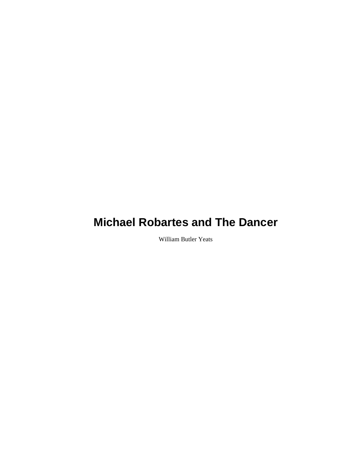William Butler Yeats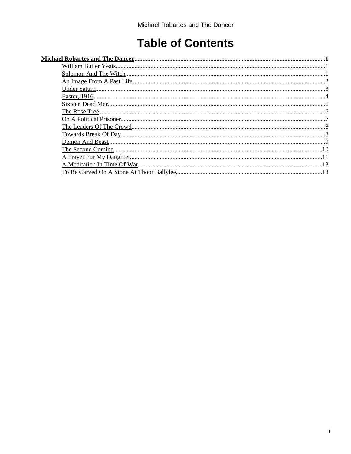# **Table of Contents**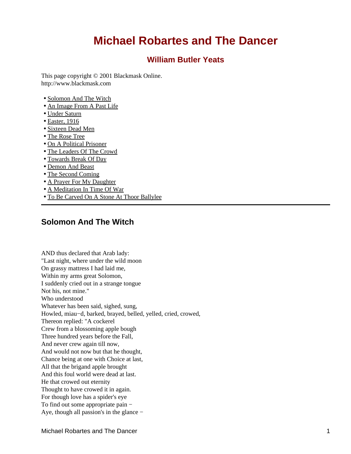## **William Butler Yeats**

<span id="page-2-1"></span><span id="page-2-0"></span>This page copyright © 2001 Blackmask Online. http://www.blackmask.com

- [Solomon And The Witch](#page-2-2)
- [An Image From A Past Life](#page-3-0)
- [Under Saturn](#page-4-0)
- [Easter, 1916](#page-5-0)
- [Sixteen Dead Men](#page-7-0)
- [The Rose Tree](#page-7-1)
- [On A Political Prisoner](#page-8-0)
- [The Leaders Of The Crowd](#page-9-0)
- [Towards Break Of Day](#page-9-1)
- [Demon And Beast](#page-10-0)
- [The Second Coming](#page-11-0)
- [A Prayer For My Daughter](#page-12-0)
- [A Meditation In Time Of War](#page-14-0)
- [To Be Carved On A Stone At Thoor Ballylee](#page-14-1)

## <span id="page-2-2"></span>**Solomon And The Witch**

AND thus declared that Arab lady: "Last night, where under the wild moon On grassy mattress I had laid me, Within my arms great Solomon, I suddenly cried out in a strange tongue Not his, not mine." Who understood Whatever has been said, sighed, sung, Howled, miau−d, barked, brayed, belled, yelled, cried, crowed, Thereon replied: "A cockerel Crew from a blossoming apple bough Three hundred years before the Fall, And never crew again till now, And would not now but that he thought, Chance being at one with Choice at last, All that the brigand apple brought And this foul world were dead at last. He that crowed out eternity Thought to have crowed it in again. For though love has a spider's eye To find out some appropriate pain − Aye, though all passion's in the glance −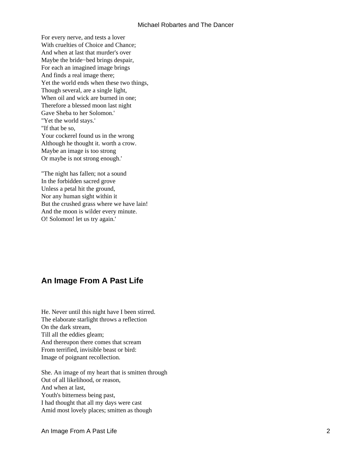For every nerve, and tests a lover With cruelties of Choice and Chance; And when at last that murder's over Maybe the bride−bed brings despair, For each an imagined image brings And finds a real image there; Yet the world ends when these two things, Though several, are a single light, When oil and wick are burned in one; Therefore a blessed moon last night Gave Sheba to her Solomon.' "Yet the world stays.' "If that be so, Your cockerel found us in the wrong Although he thought it. worth a crow. Maybe an image is too strong Or maybe is not strong enough.'

"The night has fallen; not a sound In the forbidden sacred grove Unless a petal hit the ground, Nor any human sight within it But the crushed grass where we have lain! And the moon is wilder every minute. O! Solomon! let us try again.'

## <span id="page-3-0"></span>**An Image From A Past Life**

He. Never until this night have I been stirred. The elaborate starlight throws a reflection On the dark stream, Till all the eddies gleam; And thereupon there comes that scream From terrified, invisible beast or bird: Image of poignant recollection.

She. An image of my heart that is smitten through Out of all likelihood, or reason, And when at last, Youth's bitterness being past, I had thought that all my days were cast Amid most lovely places; smitten as though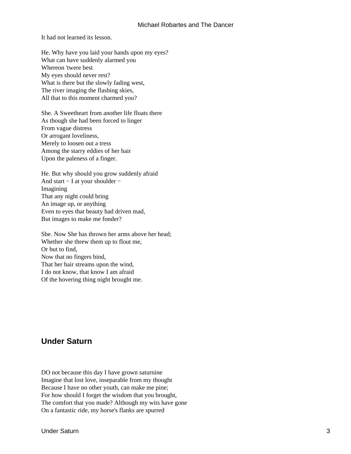It had not learned its lesson.

He. Why have you laid your hands upon my eyes? What can have suddenly alarmed you Whereon 'twere best My eyes should never rest? What is there but the slowly fading west, The river imaging the flashing skies, All that to this moment charmed you?

She. A Sweetheart from another life floats there As though she had been forced to linger From vague distress Or arrogant loveliness, Merely to loosen out a tress Among the starry eddies of her hair Upon the paleness of a finger.

He. But why should you grow suddenly afraid And start − I at your shoulder − Imagining That any night could bring An image up, or anything Even to eyes that beauty had driven mad, But images to make me fonder?

She. Now She has thrown her arms above her head; Whether she threw them up to flout me, Or but to find, Now that no fingers bind, That her hair streams upon the wind, I do not know, that know I am afraid Of the hovering thing night brought me.

## <span id="page-4-0"></span>**Under Saturn**

DO not because this day I have grown saturnine Imagine that lost love, inseparable from my thought Because I have no other youth, can make me pine; For how should I forget the wisdom that you brought, The comfort that you made? Although my wits have gone On a fantastic ride, my horse's flanks are spurred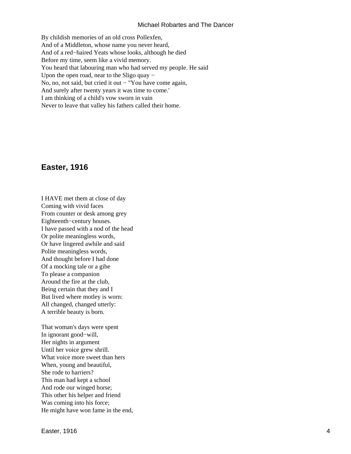By childish memories of an old cross Pollexfen, And of a Middleton, whose name you never heard, And of a red−haired Yeats whose looks, although he died Before my time, seem like a vivid memory. You heard that labouring man who had served my people. He said Upon the open road, near to the Sligo quay − No, no, not said, but cried it out − "You have come again, And surely after twenty years it was time to come.' I am thinking of a child's vow sworn in vain Never to leave that valley his fathers called their home.

## <span id="page-5-0"></span>**Easter, 1916**

I HAVE met them at close of day Coming with vivid faces From counter or desk among grey Eighteenth−century houses. I have passed with a nod of the head Or polite meaningless words, Or have lingered awhile and said Polite meaningless words, And thought before I had done Of a mocking tale or a gibe To please a companion Around the fire at the club, Being certain that they and I But lived where motley is worn: All changed, changed utterly: A terrible beauty is born.

That woman's days were spent In ignorant good−will, Her nights in argument Until her voice grew shrill. What voice more sweet than hers When, young and beautiful, She rode to harriers? This man had kept a school And rode our winged horse; This other his helper and friend Was coming into his force; He might have won fame in the end,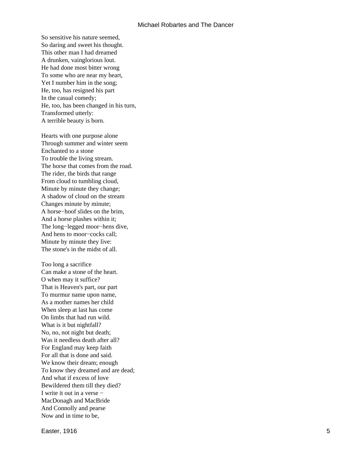So sensitive his nature seemed, So daring and sweet his thought. This other man I had dreamed A drunken, vainglorious lout. He had done most bitter wrong To some who are near my heart, Yet I number him in the song; He, too, has resigned his part In the casual comedy; He, too, has been changed in his turn, Transformed utterly: A terrible beauty is born.

Hearts with one purpose alone Through summer and winter seem Enchanted to a stone To trouble the living stream. The horse that comes from the road. The rider, the birds that range From cloud to tumbling cloud, Minute by minute they change; A shadow of cloud on the stream Changes minute by minute; A horse−hoof slides on the brim, And a horse plashes within it; The long−legged moor−hens dive, And hens to moor−cocks call; Minute by minute they live: The stone's in the midst of all.

Too long a sacrifice Can make a stone of the heart. O when may it suffice? That is Heaven's part, our part To murmur name upon name, As a mother names her child When sleep at last has come On limbs that had run wild. What is it but nightfall? No, no, not night but death; Was it needless death after all? For England may keep faith For all that is done and said. We know their dream; enough To know they dreamed and are dead; And what if excess of love Bewildered them till they died? I write it out in a verse − MacDonagh and MacBride And Connolly and pearse Now and in time to be,

Easter, 1916 **5**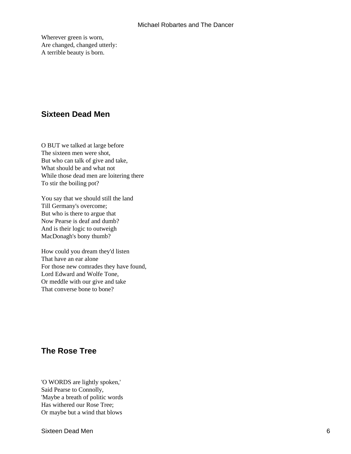Wherever green is worn, Are changed, changed utterly: A terrible beauty is born.

## <span id="page-7-0"></span>**Sixteen Dead Men**

O BUT we talked at large before The sixteen men were shot, But who can talk of give and take, What should be and what not While those dead men are loitering there To stir the boiling pot?

You say that we should still the land Till Germany's overcome; But who is there to argue that Now Pearse is deaf and dumb? And is their logic to outweigh MacDonagh's bony thumb?

How could you dream they'd listen That have an ear alone For those new comrades they have found, Lord Edward and Wolfe Tone, Or meddle with our give and take That converse bone to bone?

## <span id="page-7-1"></span>**The Rose Tree**

'O WORDS are lightly spoken,' Said Pearse to Connolly, 'Maybe a breath of politic words Has withered our Rose Tree; Or maybe but a wind that blows

Sixteen Dead Men 6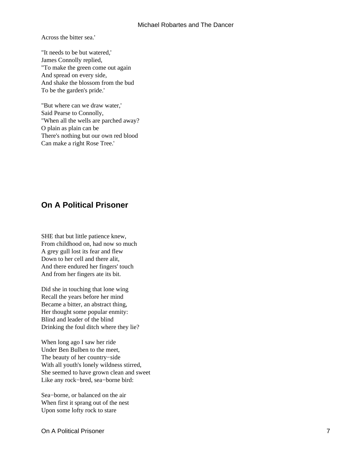Across the bitter sea.'

"It needs to be but watered,' James Connolly replied, "To make the green come out again And spread on every side, And shake the blossom from the bud To be the garden's pride.'

"But where can we draw water,' Said Pearse to Connolly, "When all the wells are parched away? O plain as plain can be There's nothing but our own red blood Can make a right Rose Tree.'

## <span id="page-8-0"></span>**On A Political Prisoner**

SHE that but little patience knew, From childhood on, had now so much A grey gull lost its fear and flew Down to her cell and there alit, And there endured her fingers' touch And from her fingers ate its bit.

Did she in touching that lone wing Recall the years before her mind Became a bitter, an abstract thing, Her thought some popular enmity: Blind and leader of the blind Drinking the foul ditch where they lie?

When long ago I saw her ride Under Ben Bulben to the meet, The beauty of her country−side With all youth's lonely wildness stirred, She seemed to have grown clean and sweet Like any rock−bred, sea−borne bird:

Sea−borne, or balanced on the air When first it sprang out of the nest Upon some lofty rock to stare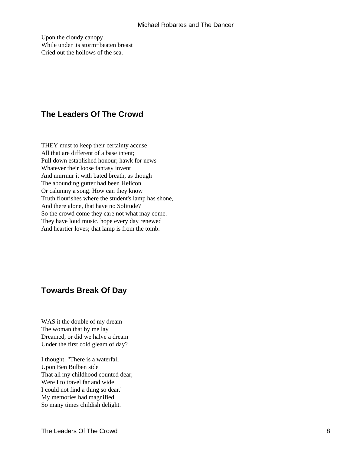Upon the cloudy canopy, While under its storm−beaten breast Cried out the hollows of the sea.

## <span id="page-9-0"></span>**The Leaders Of The Crowd**

THEY must to keep their certainty accuse All that are different of a base intent; Pull down established honour; hawk for news Whatever their loose fantasy invent And murmur it with bated breath, as though The abounding gutter had been Helicon Or calumny a song. How can they know Truth flourishes where the student's lamp has shone, And there alone, that have no Solitude? So the crowd come they care not what may come. They have loud music, hope every day renewed And heartier loves; that lamp is from the tomb.

## <span id="page-9-1"></span>**Towards Break Of Day**

WAS it the double of my dream The woman that by me lay Dreamed, or did we halve a dream Under the first cold gleam of day?

I thought: "There is a waterfall Upon Ben Bulben side That all my childhood counted dear; Were I to travel far and wide I could not find a thing so dear.' My memories had magnified So many times childish delight.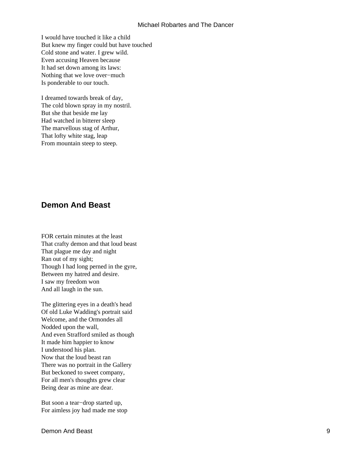I would have touched it like a child But knew my finger could but have touched Cold stone and water. I grew wild. Even accusing Heaven because It had set down among its laws: Nothing that we love over−much Is ponderable to our touch.

I dreamed towards break of day, The cold blown spray in my nostril. But she that beside me lay Had watched in bitterer sleep The marvellous stag of Arthur, That lofty white stag, leap From mountain steep to steep.

### <span id="page-10-0"></span>**Demon And Beast**

FOR certain minutes at the least That crafty demon and that loud beast That plague me day and night Ran out of my sight; Though I had long perned in the gyre, Between my hatred and desire. I saw my freedom won And all laugh in the sun.

The glittering eyes in a death's head Of old Luke Wadding's portrait said Welcome, and the Ormondes all Nodded upon the wall, And even Strafford smiled as though It made him happier to know I understood his plan. Now that the loud beast ran There was no portrait in the Gallery But beckoned to sweet company, For all men's thoughts grew clear Being dear as mine are dear.

But soon a tear−drop started up, For aimless joy had made me stop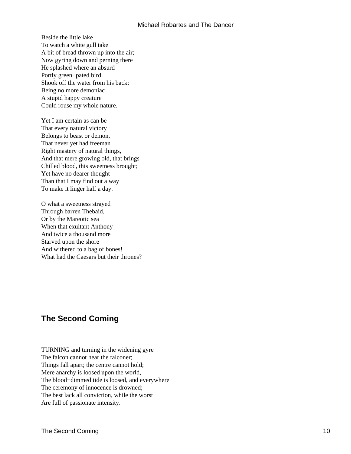Beside the little lake To watch a white gull take A bit of bread thrown up into the air; Now gyring down and perning there He splashed where an absurd Portly green−pated bird Shook off the water from his back; Being no more demoniac A stupid happy creature Could rouse my whole nature.

Yet I am certain as can be That every natural victory Belongs to beast or demon, That never yet had freeman Right mastery of natural things, And that mere growing old, that brings Chilled blood, this sweetness brought; Yet have no dearer thought Than that I may find out a way To make it linger half a day.

O what a sweetness strayed Through barren Thebaid, Or by the Mareotic sea When that exultant Anthony And twice a thousand more Starved upon the shore And withered to a bag of bones! What had the Caesars but their thrones?

## <span id="page-11-0"></span>**The Second Coming**

TURNING and turning in the widening gyre The falcon cannot hear the falconer; Things fall apart; the centre cannot hold; Mere anarchy is loosed upon the world, The blood−dimmed tide is loosed, and everywhere The ceremony of innocence is drowned; The best lack all conviction, while the worst Are full of passionate intensity.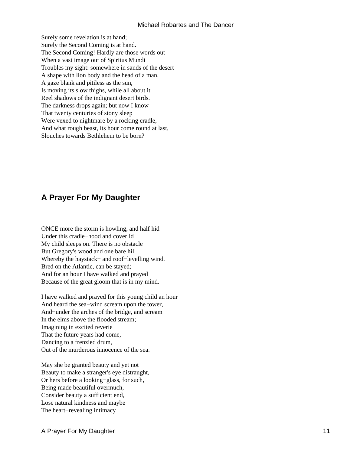Surely some revelation is at hand; Surely the Second Coming is at hand. The Second Coming! Hardly are those words out When a vast image out of Spiritus Mundi Troubles my sight: somewhere in sands of the desert A shape with lion body and the head of a man, A gaze blank and pitiless as the sun, Is moving its slow thighs, while all about it Reel shadows of the indignant desert birds. The darkness drops again; but now I know That twenty centuries of stony sleep Were vexed to nightmare by a rocking cradle, And what rough beast, its hour come round at last, Slouches towards Bethlehem to be born?

## <span id="page-12-0"></span>**A Prayer For My Daughter**

ONCE more the storm is howling, and half hid Under this cradle−hood and coverlid My child sleeps on. There is no obstacle But Gregory's wood and one bare hill Whereby the haystack− and roof−levelling wind. Bred on the Atlantic, can be stayed; And for an hour I have walked and prayed Because of the great gloom that is in my mind.

I have walked and prayed for this young child an hour And heard the sea−wind scream upon the tower, And−under the arches of the bridge, and scream In the elms above the flooded stream; Imagining in excited reverie That the future years had come, Dancing to a frenzied drum, Out of the murderous innocence of the sea.

May she be granted beauty and yet not Beauty to make a stranger's eye distraught, Or hers before a looking−glass, for such, Being made beautiful overmuch, Consider beauty a sufficient end, Lose natural kindness and maybe The heart−revealing intimacy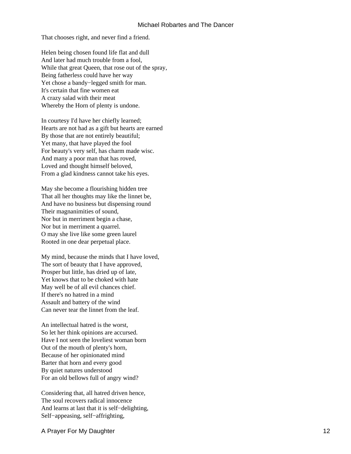That chooses right, and never find a friend.

Helen being chosen found life flat and dull And later had much trouble from a fool, While that great Queen, that rose out of the spray, Being fatherless could have her way Yet chose a bandy−legged smith for man. It's certain that fine women eat A crazy salad with their meat Whereby the Horn of plenty is undone.

In courtesy I'd have her chiefly learned; Hearts are not had as a gift but hearts are earned By those that are not entirely beautiful; Yet many, that have played the fool For beauty's very self, has charm made wisc. And many a poor man that has roved, Loved and thought himself beloved, From a glad kindness cannot take his eyes.

May she become a flourishing hidden tree That all her thoughts may like the linnet be, And have no business but dispensing round Their magnanimities of sound, Nor but in merriment begin a chase, Nor but in merriment a quarrel. O may she live like some green laurel Rooted in one dear perpetual place.

My mind, because the minds that I have loved, The sort of beauty that I have approved, Prosper but little, has dried up of late, Yet knows that to be choked with hate May well be of all evil chances chief. If there's no hatred in a mind Assault and battery of the wind Can never tear the linnet from the leaf.

An intellectual hatred is the worst, So let her think opinions are accursed. Have I not seen the loveliest woman born Out of the mouth of plenty's horn, Because of her opinionated mind Barter that horn and every good By quiet natures understood For an old bellows full of angry wind?

Considering that, all hatred driven hence, The soul recovers radical innocence And learns at last that it is self−delighting, Self−appeasing, self−affrighting,